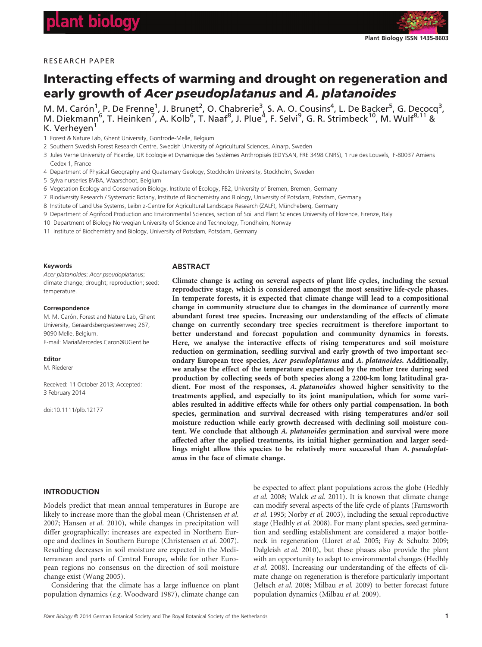

# RESEARCH PAPER

# Interacting effects of warming and drought on regeneration and early growth of Acer pseudoplatanus and A. platanoides

M. M. Carón<sup>1</sup>, P. De Frenne<sup>1</sup>, J. Brunet<sup>2</sup>, O. Chabrerie<sup>3</sup>, S. A. O. Cousins<sup>4</sup>, L. De Backer<sup>5</sup>, G. Decocq<sup>3</sup>, M. Diekmann<sup>6</sup>, T. Heinken<sup>7</sup>, A. Kolb<sup>6</sup>, T. Naaf<sup>8</sup>, J. Plue<sup>4</sup>, F. Selvi<sup>9</sup>, G. R. Strimbeck<sup>10</sup>, M. Wulf<sup>8,11</sup> & K. Verheyen<sup>1</sup>

- 1 Forest & Nature Lab, Ghent University, Gontrode-Melle, Belgium
- 2 Southern Swedish Forest Research Centre, Swedish University of Agricultural Sciences, Alnarp, Sweden
- 3 Jules Verne University of Picardie, UR Ecologie et Dynamique des Systemes Anthropises (EDYSAN, FRE 3498 CNRS), 1 rue des Louvels, F-80037 Amiens Cedex 1, France
- 4 Department of Physical Geography and Quaternary Geology, Stockholm University, Stockholm, Sweden
- 5 Sylva nurseries BVBA, Waarschoot, Belgium
- 6 Vegetation Ecology and Conservation Biology, Institute of Ecology, FB2, University of Bremen, Bremen, Germany
- 7 Biodiversity Research / Systematic Botany, Institute of Biochemistry and Biology, University of Potsdam, Potsdam, Germany
- 8 Institute of Land Use Systems, Leibniz-Centre for Agricultural Landscape Research (ZALF), Müncheberg, Germany
- 9 Department of Agrifood Production and Environmental Sciences, section of Soil and Plant Sciences University of Florence, Firenze, Italy
- 10 Department of Biology Norwegian University of Science and Technology, Trondheim, Norway
- 11 Institute of Biochemistry and Biology, University of Potsdam, Potsdam, Germany

#### Keywords

temperature.

Acer platanoides; Acer pseudoplatanus; climate change; drought; reproduction; seed;

#### **Correspondence**

M. M. Carón, Forest and Nature Lab, Ghent University, Geraardsbergsesteenweg 267, 9090 Melle, Belgium. E-mail: MariaMercedes.Caron@UGent.be

Editor

M. Riederer

Received: 11 October 2013; Accepted: 3 February 2014

doi:10.1111/plb.12177

### **ABSTRACT**

Climate change is acting on several aspects of plant life cycles, including the sexual reproductive stage, which is considered amongst the most sensitive life-cycle phases. In temperate forests, it is expected that climate change will lead to a compositional change in community structure due to changes in the dominance of currently more abundant forest tree species. Increasing our understanding of the effects of climate change on currently secondary tree species recruitment is therefore important to better understand and forecast population and community dynamics in forests. Here, we analyse the interactive effects of rising temperatures and soil moisture reduction on germination, seedling survival and early growth of two important secondary European tree species, Acer pseudoplatanus and A. platanoides. Additionally, we analyse the effect of the temperature experienced by the mother tree during seed production by collecting seeds of both species along a 2200-km long latitudinal gradient. For most of the responses, A. platanoides showed higher sensitivity to the treatments applied, and especially to its joint manipulation, which for some variables resulted in additive effects while for others only partial compensation. In both species, germination and survival decreased with rising temperatures and/or soil moisture reduction while early growth decreased with declining soil moisture content. We conclude that although A. platanoides germination and survival were more affected after the applied treatments, its initial higher germination and larger seedlings might allow this species to be relatively more successful than A. pseudoplatanus in the face of climate change.

# INTRODUCTION

Models predict that mean annual temperatures in Europe are likely to increase more than the global mean (Christensen et al. 2007; Hansen et al. 2010), while changes in precipitation will differ geographically: increases are expected in Northern Europe and declines in Southern Europe (Christensen et al. 2007). Resulting decreases in soil moisture are expected in the Mediterranean and parts of Central Europe, while for other European regions no consensus on the direction of soil moisture change exist (Wang 2005).

Considering that the climate has a large influence on plant population dynamics (e.g. Woodward 1987), climate change can be expected to affect plant populations across the globe (Hedhly et al. 2008; Walck et al. 2011). It is known that climate change can modify several aspects of the life cycle of plants (Farnsworth et al. 1995; Norby et al. 2003), including the sexual reproductive stage (Hedhly et al. 2008). For many plant species, seed germination and seedling establishment are considered a major bottleneck in regeneration (Lloret et al. 2005; Fay & Schultz 2009; Dalgleish et al. 2010), but these phases also provide the plant with an opportunity to adapt to environmental changes (Hedhly et al. 2008). Increasing our understanding of the effects of climate change on regeneration is therefore particularly important (Jeltsch et al. 2008; Milbau et al. 2009) to better forecast future population dynamics (Milbau et al. 2009).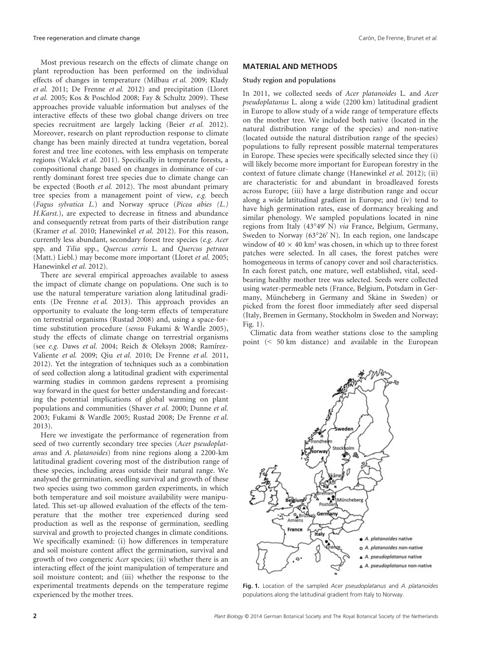Most previous research on the effects of climate change on plant reproduction has been performed on the individual effects of changes in temperature (Milbau et al. 2009; Klady et al. 2011; De Frenne et al. 2012) and precipitation (Lloret et al. 2005; Kos & Poschlod 2008; Fay & Schultz 2009). These approaches provide valuable information but analyses of the interactive effects of these two global change drivers on tree species recruitment are largely lacking (Beier et al. 2012). Moreover, research on plant reproduction response to climate change has been mainly directed at tundra vegetation, boreal forest and tree line ecotones, with less emphasis on temperate regions (Walck et al. 2011). Specifically in temperate forests, a compositional change based on changes in dominance of currently dominant forest tree species due to climate change can be expected (Booth et al. 2012). The most abundant primary tree species from a management point of view, e.g. beech (Fagus sylvatica L.) and Norway spruce (Picea abies (L.) H.Karst.), are expected to decrease in fitness and abundance and consequently retreat from parts of their distribution range (Kramer et al. 2010; Hanewinkel et al. 2012). For this reason, currently less abundant, secondary forest tree species (e.g. Acer spp. and Tilia spp., Quercus cerris L. and Quercus petraea (Matt.) Liebl.) may become more important (Lloret et al. 2005; Hanewinkel et al. 2012).

There are several empirical approaches available to assess the impact of climate change on populations. One such is to use the natural temperature variation along latitudinal gradients (De Frenne et al. 2013). This approach provides an opportunity to evaluate the long-term effects of temperature on terrestrial organisms (Rustad 2008) and, using a space-fortime substitution procedure (sensu Fukami & Wardle 2005), study the effects of climate change on terrestrial organisms (see e.g. Daws et al. 2004; Reich & Oleksyn 2008; Ramırez-Valiente et al. 2009; Qiu et al. 2010; De Frenne et al. 2011, 2012). Yet the integration of techniques such as a combination of seed collection along a latitudinal gradient with experimental warming studies in common gardens represent a promising way forward in the quest for better understanding and forecasting the potential implications of global warming on plant populations and communities (Shaver et al. 2000; Dunne et al. 2003; Fukami & Wardle 2005; Rustad 2008; De Frenne et al. 2013).

Here we investigate the performance of regeneration from seed of two currently secondary tree species (Acer pseudoplatanus and A. platanoides) from nine regions along a 2200-km latitudinal gradient covering most of the distribution range of these species, including areas outside their natural range. We analysed the germination, seedling survival and growth of these two species using two common garden experiments, in which both temperature and soil moisture availability were manipulated. This set-up allowed evaluation of the effects of the temperature that the mother tree experienced during seed production as well as the response of germination, seedling survival and growth to projected changes in climate conditions. We specifically examined: (i) how differences in temperature and soil moisture content affect the germination, survival and growth of two congeneric Acer species; (ii) whether there is an interacting effect of the joint manipulation of temperature and soil moisture content; and (iii) whether the response to the experimental treatments depends on the temperature regime experienced by the mother trees.

## MATERIAL AND METHODS

#### Study region and populations

In 2011, we collected seeds of Acer platanoides L. and Acer pseudoplatanus L. along a wide (2200 km) latitudinal gradient in Europe to allow study of a wide range of temperature effects on the mother tree. We included both native (located in the natural distribution range of the species) and non-native (located outside the natural distribution range of the species) populations to fully represent possible maternal temperatures in Europe. These species were specifically selected since they (i) will likely become more important for European forestry in the context of future climate change (Hanewinkel et al. 2012); (ii) are characteristic for and abundant in broadleaved forests across Europe; (iii) have a large distribution range and occur along a wide latitudinal gradient in Europe; and (iv) tend to have high germination rates, ease of dormancy breaking and similar phenology. We sampled populations located in nine regions from Italy  $(43^{\circ}49' \text{ N})$  via France, Belgium, Germany, Sweden to Norway (63°26' N). In each region, one landscape window of  $40 \times 40$  km<sup>2</sup> was chosen, in which up to three forest patches were selected. In all cases, the forest patches were homogeneous in terms of canopy cover and soil characteristics. In each forest patch, one mature, well established, vital, seedbearing healthy mother tree was selected. Seeds were collected using water-permeable nets (France, Belgium, Potsdam in Germany, Müncheberg in Germany and Skåne in Sweden) or picked from the forest floor immediately after seed dispersal (Italy, Bremen in Germany, Stockholm in Sweden and Norway; Fig. 1).

Climatic data from weather stations close to the sampling point (< 50 km distance) and available in the European



Fig. 1. Location of the sampled Acer pseudoplatanus and A. platanoides populations along the latitudinal gradient from Italy to Norway.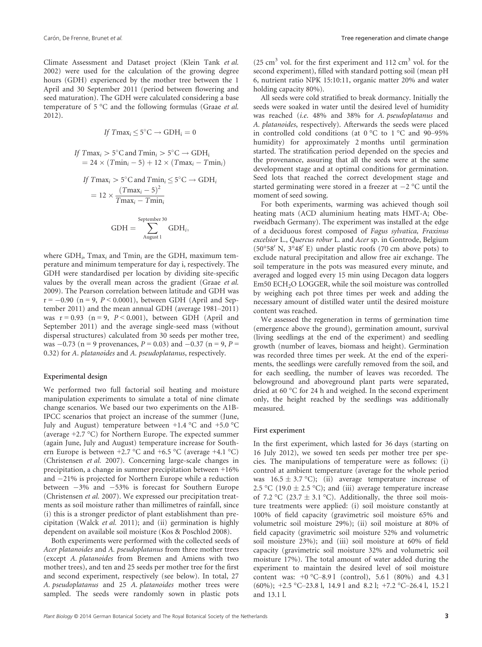Climate Assessment and Dataset project (Klein Tank et al. 2002) were used for the calculation of the growing degree hours (GDH) experienced by the mother tree between the 1 April and 30 September 2011 (period between flowering and seed maturation). The GDH were calculated considering a base temperature of 5 °C and the following formulas (Graae et al. 2012).

$$
If\;Tmax_i\leq 5^{\circ}C\rightarrow GDH_i=0
$$

If 
$$
Tmax_i > 5^\circ \text{C}
$$
 and  $Tmin_i > 5^\circ \text{C} \rightarrow \text{GDH}_i$   
= 24 ×  $(Tmin_i - 5) + 12 \times (Tmax_i - Tmin_i)$ 

If 
$$
Tmax_i > 5^\circ \text{C}
$$
 and  $Tmin_i \le 5^\circ \text{C} \rightarrow \text{GDH}_i$   
=  $12 \times \frac{(Tmax_i - 5)^2}{Tmax_i - Tmin_i}$ 

$$
GDH = \sum_{\text{August 1}}^{\text{September 30}} GDH_i,
$$

where  $GDH_i$ , Tmax<sub>i</sub> and Tmin<sub>i</sub> are the GDH, maximum temperature and minimum temperature for day i, respectively. The GDH were standardised per location by dividing site-specific values by the overall mean across the gradient (Graae et al. 2009). The Pearson correlation between latitude and GDH was  $r = -0.90$  (n = 9, P < 0.0001), between GDH (April and September 2011) and the mean annual GDH (average 1981–2011) was  $r = 0.93$  (n = 9,  $P < 0.001$ ), between GDH (April and September 2011) and the average single-seed mass (without dispersal structures) calculated from 30 seeds per mother tree, was  $-0.73$  (n = 9 provenances, P = 0.03) and  $-0.37$  (n = 9, P = 0.32) for A. platanoides and A. pseudoplatanus, respectively.

# Experimental design

We performed two full factorial soil heating and moisture manipulation experiments to simulate a total of nine climate change scenarios. We based our two experiments on the A1B-IPCC scenarios that project an increase of the summer (June, July and August) temperature between  $+1.4$  °C and  $+5.0$  °C (average +2.7 °C) for Northern Europe. The expected summer (again June, July and August) temperature increase for Southern Europe is between  $+2.7 \degree C$  and  $+6.5 \degree C$  (average  $+4.1 \degree C$ ) (Christensen et al. 2007). Concerning large-scale changes in precipitation, a change in summer precipitation between +16% and  $-21\%$  is projected for Northern Europe while a reduction between  $-3\%$  and  $-53\%$  is forecast for Southern Europe (Christensen et al. 2007). We expressed our precipitation treatments as soil moisture rather than millimetres of rainfall, since (i) this is a stronger predictor of plant establishment than precipitation (Walck et al. 2011); and (ii) germination is highly dependent on available soil moisture (Kos & Poschlod 2008).

Both experiments were performed with the collected seeds of Acer platanoides and A. pseudoplatanus from three mother trees (except A. platanoides from Bremen and Amiens with two mother trees), and ten and 25 seeds per mother tree for the first and second experiment, respectively (see below). In total, 27 A. pseudoplatanus and 25 A. platanoides mother trees were sampled. The seeds were randomly sown in plastic pots

(25 cm<sup>3</sup> vol. for the first experiment and 112 cm<sup>3</sup> vol. for the second experiment), filled with standard potting soil (mean pH 6, nutrient ratio NPK 15:10:11, organic matter 20% and water holding capacity 80%).

All seeds were cold stratified to break dormancy. Initially the seeds were soaked in water until the desired level of humidity was reached (i.e. 48% and 38% for A. pseudoplatanus and A. platanoides, respectively). Afterwards the seeds were placed in controlled cold conditions (at 0 °C to 1 °C and 90–95% humidity) for approximately 2 months until germination started. The stratification period depended on the species and the provenance, assuring that all the seeds were at the same development stage and at optimal conditions for germination. Seed lots that reached the correct development stage and started germinating were stored in a freezer at  $-2$  °C until the moment of seed sowing.

For both experiments, warming was achieved though soil heating mats (ACD aluminium heating mats HMT-A; Oberweidbach Germany). The experiment was installed at the edge of a deciduous forest composed of Fagus sylvatica, Fraxinus excelsior L., Quercus robur L. and Acer sp. in Gontrode, Belgium (50°58' N, 3°48' E) under plastic roofs (70 cm above pots) to exclude natural precipitation and allow free air exchange. The soil temperature in the pots was measured every minute, and averaged and logged every 15 min using Decagon data loggers Em50 ECH2O LOGGER, while the soil moisture was controlled by weighing each pot three times per week and adding the necessary amount of distilled water until the desired moisture content was reached.

We assessed the regeneration in terms of germination time (emergence above the ground), germination amount, survival (living seedlings at the end of the experiment) and seedling growth (number of leaves, biomass and height). Germination was recorded three times per week. At the end of the experiments, the seedlings were carefully removed from the soil, and for each seedling, the number of leaves was recorded. The belowground and aboveground plant parts were separated, dried at 60 °C for 24 h and weighed. In the second experiment only, the height reached by the seedlings was additionally measured.

#### First experiment

In the first experiment, which lasted for 36 days (starting on 16 July 2012), we sowed ten seeds per mother tree per species. The manipulations of temperature were as follows: (i) control at ambient temperature (average for the whole period was  $16.5 \pm 3.7$  °C); (ii) average temperature increase of 2.5 °C (19.0  $\pm$  2.5 °C); and (iii) average temperature increase of 7.2 °C (23.7  $\pm$  3.1 °C). Additionally, the three soil moisture treatments were applied: (i) soil moisture constantly at 100% of field capacity (gravimetric soil moisture 65% and volumetric soil moisture 29%); (ii) soil moisture at 80% of field capacity (gravimetric soil moisture 52% and volumetric soil moisture 23%); and (iii) soil moisture at 60% of field capacity (gravimetric soil moisture 32% and volumetric soil moisture 17%). The total amount of water added during the experiment to maintain the desired level of soil moisture content was:  $+0$  °C–8.9 l (control), 5.6 l (80%) and 4.3 l (60%); +2.5 °C–23.8 l, 14.9 l and 8.2 l; +7.2 °C–26.4 l, 15.2 l and 13.1 l.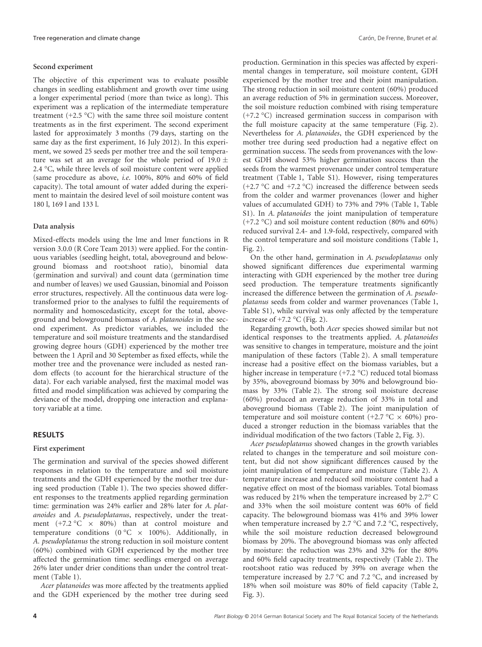# Second experiment

The objective of this experiment was to evaluate possible changes in seedling establishment and growth over time using a longer experimental period (more than twice as long). This experiment was a replication of the intermediate temperature treatment (+2.5 °C) with the same three soil moisture content treatments as in the first experiment. The second experiment lasted for approximately 3 months (79 days, starting on the same day as the first experiment, 16 July 2012). In this experiment, we sowed 25 seeds per mother tree and the soil temperature was set at an average for the whole period of 19.0  $\pm$ 2.4 °C, while three levels of soil moisture content were applied (same procedure as above, i.e. 100%, 80% and 60% of field capacity). The total amount of water added during the experiment to maintain the desired level of soil moisture content was 180 l, 169 l and 133 l.

# Data analysis

Mixed-effects models using the lme and lmer functions in R version 3.0.0 (R Core Team 2013) were applied. For the continuous variables (seedling height, total, aboveground and belowground biomass and root:shoot ratio), binomial data (germination and survival) and count data (germination time and number of leaves) we used Gaussian, binomial and Poisson error structures, respectively. All the continuous data were logtransformed prior to the analyses to fulfil the requirements of normality and homoscedasticity, except for the total, aboveground and belowground biomass of A. platanoides in the second experiment. As predictor variables, we included the temperature and soil moisture treatments and the standardised growing degree hours (GDH) experienced by the mother tree between the 1 April and 30 September as fixed effects, while the mother tree and the provenance were included as nested random effects (to account for the hierarchical structure of the data). For each variable analysed, first the maximal model was fitted and model simplification was achieved by comparing the deviance of the model, dropping one interaction and explanatory variable at a time.

## RESULTS

## First experiment

The germination and survival of the species showed different responses in relation to the temperature and soil moisture treatments and the GDH experienced by the mother tree during seed production (Table 1). The two species showed different responses to the treatments applied regarding germination time: germination was 24% earlier and 28% later for A. platanoides and A. pseudoplatanus, respectively, under the treatment  $(+7.2 \degree C \times 80\%)$  than at control moisture and temperature conditions (0 °C  $\times$  100%). Additionally, in A. pseudoplatanus the strong reduction in soil moisture content (60%) combined with GDH experienced by the mother tree affected the germination time: seedlings emerged on average 26% later under drier conditions than under the control treatment (Table 1).

Acer platanoides was more affected by the treatments applied and the GDH experienced by the mother tree during seed

production. Germination in this species was affected by experimental changes in temperature, soil moisture content, GDH experienced by the mother tree and their joint manipulation. The strong reduction in soil moisture content (60%) produced an average reduction of 5% in germination success. Moreover, the soil moisture reduction combined with rising temperature (+7.2 °C) increased germination success in comparison with the full moisture capacity at the same temperature (Fig. 2). Nevertheless for A. platanoides, the GDH experienced by the mother tree during seed production had a negative effect on germination success. The seeds from provenances with the lowest GDH showed 53% higher germination success than the seeds from the warmest provenance under control temperature treatment (Table 1, Table S1). However, rising temperatures (+2.7  $\textdegree$ C and +7.2  $\textdegree$ C) increased the difference between seeds from the colder and warmer provenances (lower and higher values of accumulated GDH) to 73% and 79% (Table 1, Table S1). In A. *platanoides* the joint manipulation of temperature (+7.2 °C) and soil moisture content reduction (80% and 60%) reduced survival 2.4- and 1.9-fold, respectively, compared with the control temperature and soil moisture conditions (Table 1, Fig. 2).

On the other hand, germination in A. pseudoplatanus only showed significant differences due experimental warming interacting with GDH experienced by the mother tree during seed production. The temperature treatments significantly increased the difference between the germination of A. pseudoplatanus seeds from colder and warmer provenances (Table 1, Table S1), while survival was only affected by the temperature increase of +7.2 °C (Fig. 2).

Regarding growth, both Acer species showed similar but not identical responses to the treatments applied. A. platanoides was sensitive to changes in temperature, moisture and the joint manipulation of these factors (Table 2). A small temperature increase had a positive effect on the biomass variables, but a higher increase in temperature (+7.2 °C) reduced total biomass by 35%, aboveground biomass by 30% and belowground biomass by 33% (Table 2). The strong soil moisture decrease (60%) produced an average reduction of 33% in total and aboveground biomass (Table 2). The joint manipulation of temperature and soil moisture content (+2.7  $\degree$ C  $\times$  60%) produced a stronger reduction in the biomass variables that the individual modification of the two factors (Table 2, Fig. 3).

Acer pseudoplatanus showed changes in the growth variables related to changes in the temperature and soil moisture content, but did not show significant differences caused by the joint manipulation of temperature and moisture (Table 2). A temperature increase and reduced soil moisture content had a negative effect on most of the biomass variables. Total biomass was reduced by 21% when the temperature increased by 2.7° C and 33% when the soil moisture content was 60% of field capacity. The belowground biomass was 41% and 39% lower when temperature increased by 2.7 °C and 7.2 °C, respectively, while the soil moisture reduction decreased belowground biomass by 20%. The aboveground biomass was only affected by moisture: the reduction was 23% and 32% for the 80% and 60% field capacity treatments, respectively (Table 2). The root:shoot ratio was reduced by 39% on average when the temperature increased by 2.7 °C and 7.2 °C, and increased by 18% when soil moisture was 80% of field capacity (Table 2, Fig. 3).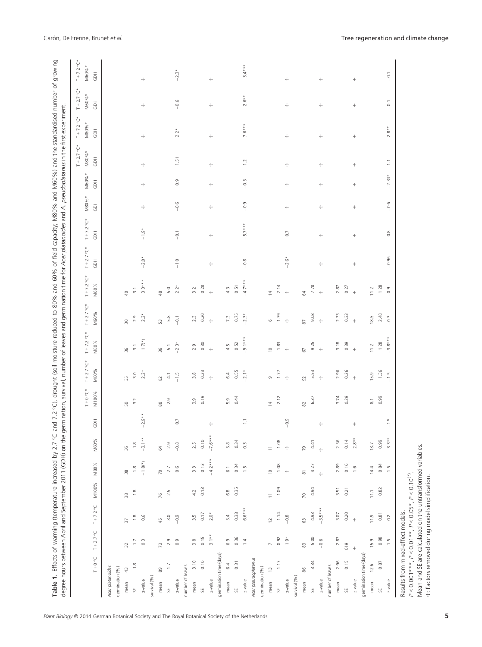| degree hours between April and September 2011 (GDH) on the germination, survival, number of leaves and germination time for Acer platanoides and A. pseudoplatanus in the first experiment.<br>Table 1. Effects of warming (temperature increased by 2.7 °C and |                  |                     |                |                   |                   |                |                    |                                              |                     |                     |                           |                     |                  |                  |                  |                        | 7.2 °C), drought (soil moisture reduced to 80% and 60% of field capacity; M80% and M60%) and the standardised number of growing |                              |                               |
|-----------------------------------------------------------------------------------------------------------------------------------------------------------------------------------------------------------------------------------------------------------------|------------------|---------------------|----------------|-------------------|-------------------|----------------|--------------------|----------------------------------------------|---------------------|---------------------|---------------------------|---------------------|------------------|------------------|------------------|------------------------|---------------------------------------------------------------------------------------------------------------------------------|------------------------------|-------------------------------|
|                                                                                                                                                                                                                                                                 |                  |                     |                |                   |                   |                | $+5^{\circ}$ O + L | $T + 2.7^{\circ}C*$                          | $T + 7.2^{\circ}C*$ | $T + 2.7^{\circ}C*$ | $T + 7.2^{\circ}C*$       | $T + 2.7^{\circ}C*$ | $T + 7.2 °C*$    | M80%*            | M60%*            | $T + 2.7 °C*$<br>M80%* | $T + 7.2^{\circ}C*$<br>$M80%$ *                                                                                                 | $T + 2.7^{\circ}C*$<br>M60%* | $T + 7.2^{\circ}C^*$<br>M60%* |
| $0^{\circ}$ 0 + $1^{\circ}$                                                                                                                                                                                                                                     | $T + 2.7 °C$     | $T + 7.2$ °C        | M100%          | M80%              | M60%              | HGD            | M100%              | M80%                                         | M80%                | M60%                | M60%                      | GDH                 | $\bar{5}$        | $\overline{6}$   | $\overline{6}$   | $\overline{5}$         | $\overline{6}$                                                                                                                  | $\overline{6}$               | $\overline{5}$                |
| Acer platanoides                                                                                                                                                                                                                                                |                  |                     |                |                   |                   |                |                    |                                              |                     |                     |                           |                     |                  |                  |                  |                        |                                                                                                                                 |                              |                               |
| gemination (%)                                                                                                                                                                                                                                                  |                  |                     |                |                   |                   |                |                    |                                              |                     |                     |                           |                     |                  |                  |                  |                        |                                                                                                                                 |                              |                               |
| $\frac{4}{3}$<br>mean                                                                                                                                                                                                                                           | 52               | 57                  | $\frac{8}{30}$ | $\frac{8}{3}$     | 96                |                | SO                 | 55                                           | 36                  | $\approx$           | $\overline{Q}$            |                     |                  |                  |                  |                        |                                                                                                                                 |                              |                               |
| $\frac{8}{1.8}$<br>벉                                                                                                                                                                                                                                            | 1.7              | $\frac{8}{1}$       | $\frac{8}{1}$  | $\frac{8}{1}$     | $\frac{8}{1}$     |                | 3.2                | 3.0                                          | $\overline{3}.1$    | 2.9                 | $\overline{\mathfrak{Z}}$ |                     |                  |                  |                  |                        |                                                                                                                                 |                              |                               |
| $z$ -value                                                                                                                                                                                                                                                      | $0.\overline{3}$ | $0.\overline{6}$    |                | $-1.8(*)$         | $-3.1**$          | $-2.9**$       |                    | $2.2*$                                       | $1.7(\text{*})$     | $2.2*$              | $3.3***$                  | $-2.0*$             | $-1.9*$          | $\!+\!$          | $\!+\!$          | $\!+\!$                | $\pm$                                                                                                                           | $\!+\!$                      | $\div$                        |
| survival (%)                                                                                                                                                                                                                                                    |                  |                     |                |                   |                   |                |                    |                                              |                     |                     |                           |                     |                  |                  |                  |                        |                                                                                                                                 |                              |                               |
| 89<br>mean                                                                                                                                                                                                                                                      | 73               | 45                  | 76             | 70                | 2                 |                | 88                 | $\rm \stackrel{\small 2}{\scriptstyle \sim}$ | 36                  | S                   | $\frac{8}{4}$             |                     |                  |                  |                  |                        |                                                                                                                                 |                              |                               |
| $\overline{1}$<br>SE                                                                                                                                                                                                                                            | 2.9              | 3.0                 | 2.5            | 2.7               | 2.9               |                | 2.9                | $4.1$                                        | $\overline{5}$ .    | $\frac{80}{20}$     | 5.0                       |                     |                  |                  |                  |                        |                                                                                                                                 |                              |                               |
| $z$ -value                                                                                                                                                                                                                                                      | 0.9              | $-0.9$              |                | 0.6               | $-0.8$            | $\overline{0}$ |                    | $-1.5$                                       | $-2.3*$             | $-0.1$              | $2.2*$                    | $-1.0$              | $-0.1$           | $-0.6$           | $\frac{0}{2}$    | 1.51                   | $2.2*$                                                                                                                          | $-0.6$                       | $-2.3*$                       |
| number of leaves                                                                                                                                                                                                                                                |                  |                     |                |                   |                   |                |                    |                                              |                     |                     |                           |                     |                  |                  |                  |                        |                                                                                                                                 |                              |                               |
| 3.10<br>mean                                                                                                                                                                                                                                                    | 3.8              | 3.5                 | 4.2            | 3.3               | 2.5               |                | 3.9                | 3.8                                          | 2.9                 | 2.3                 | 3.2                       |                     |                  |                  |                  |                        |                                                                                                                                 |                              |                               |
| 0.10<br>$\overline{\mathbb{S}}$                                                                                                                                                                                                                                 | 0.15             | 0.17                | 0.13           | 0.13              | 0.10              |                | 0.19               | 0.23                                         | 0.30                | 0.20                | 0.28                      |                     |                  |                  |                  |                        |                                                                                                                                 |                              |                               |
| $z$ -value                                                                                                                                                                                                                                                      | $3.1**$          | $2.0*$              |                | $-4.2***$         | $-7.6***$         | $\div$         |                    | $\pm$                                        | $\pm$               | $\pm$               | $\ddot{\mathrm{+}}$       | $\!+\!$             | $\div$           | $\div$           | $\!+\!$          | $\!+\!$                | $\div$                                                                                                                          | $\div$                       | $\div$                        |
| germination time (days)                                                                                                                                                                                                                                         |                  |                     |                |                   |                   |                |                    |                                              |                     |                     |                           |                     |                  |                  |                  |                        |                                                                                                                                 |                              |                               |
| 6.4<br>mean                                                                                                                                                                                                                                                     | 6.9              | 5.4                 | 6.8            | $\overline{6}$ .  | 5.8               |                | 5.9                | 6.4                                          | 4.5                 | 7.3                 | 4.3                       |                     |                  |                  |                  |                        |                                                                                                                                 |                              |                               |
| 0.31<br>UH                                                                                                                                                                                                                                                      | 0.36             | 0.38                | 0.35           | 0.34              | 0.34              |                | 0.44               | 0.55                                         | 0.52                | 0.75                | 0.51                      |                     |                  |                  |                  |                        |                                                                                                                                 |                              |                               |
| $z$ -value                                                                                                                                                                                                                                                      | $\overline{4}$   | $6.6***$            |                | 1.5               | $0.\overline{3}$  | ÷              |                    | $-2.1*$                                      | $-9.1***$           | $-2.3*$             | $-4.7**$                  | $-0.8$              | $-5.7***$        | $-0.9$           | $-0.5$           | 1.2                    | $7.6***$                                                                                                                        | $2.6**$                      | $3.4***$                      |
| Acer pseudoplatanus                                                                                                                                                                                                                                             |                  |                     |                |                   |                   |                |                    |                                              |                     |                     |                           |                     |                  |                  |                  |                        |                                                                                                                                 |                              |                               |
| gemination (%)                                                                                                                                                                                                                                                  |                  |                     |                |                   |                   |                |                    |                                              |                     |                     |                           |                     |                  |                  |                  |                        |                                                                                                                                 |                              |                               |
| $\frac{1}{2}$<br>mean                                                                                                                                                                                                                                           | $\overline{a}$   | $\overline{c}$      | $\equiv$       | $\supseteq$       | $\equiv$          |                | $\overline{4}$     | $\sigma$                                     | $\supseteq$         | $\circ$             | $\overline{4}$            |                     |                  |                  |                  |                        |                                                                                                                                 |                              |                               |
| $1.17\,$<br>ŠΕ                                                                                                                                                                                                                                                  | 0.92             | $1.14.$             | 1.09           | 1.08              | 1.08              |                | 2.12               | 1.77                                         | 1.83                | 1.39                | 2.14                      |                     |                  |                  |                  |                        |                                                                                                                                 |                              |                               |
| $z$ -value                                                                                                                                                                                                                                                      | $\frac{1}{2}$    | $-0.8$              |                | $\pm$             | $\pm$             | $-0.9$         |                    | $\pm$                                        | $\pm$               | $\pm$               | $\pm$                     | $-2.6*$             | $\overline{0}$   | $\boldsymbol{+}$ | $\boldsymbol{+}$ | $\!+\!$                | $\boldsymbol{+}$                                                                                                                | $\!+\!$                      | $\!+\!$                       |
| survival (%)                                                                                                                                                                                                                                                    |                  |                     |                |                   |                   |                |                    |                                              |                     |                     |                           |                     |                  |                  |                  |                        |                                                                                                                                 |                              |                               |
| 86<br>mean                                                                                                                                                                                                                                                      | 83               | 63                  | $\overline{2}$ | $\overline{8}$    | 79                |                | 82                 | $\overline{9}$                               | 67                  | 87                  | 64                        |                     |                  |                  |                  |                        |                                                                                                                                 |                              |                               |
| 3.34<br>$z$ -value<br>5É                                                                                                                                                                                                                                        | 5.00<br>$-0.6$   | $-3.5***$<br>4.93   | 4.94           | 4.27<br>$\ddot{}$ | 4.41<br>$\ddot{}$ | $\!+\!$        | 6.37               | 5.53<br>$\div$                               | 9.25<br>$\div$      | 9.08<br>$\pm$       | 7.78<br>$\pm$             | $\!+\!$             | $\div$           | $\!+\!$          | $\!+\!$          | ÷                      | $\!+\!$                                                                                                                         | ÷                            | $\!+\!$                       |
| number of leaves                                                                                                                                                                                                                                                |                  |                     |                |                   |                   |                |                    |                                              |                     |                     |                           |                     |                  |                  |                  |                        |                                                                                                                                 |                              |                               |
| 2.96<br>mean                                                                                                                                                                                                                                                    | 2.87             | 3.07                | 3.51           | 2.89              | 2.56              |                | 3.74               | 2.96                                         | 3.18                | 2.33                | 2.87                      |                     |                  |                  |                  |                        |                                                                                                                                 |                              |                               |
| 0.15<br>SE                                                                                                                                                                                                                                                      | 019              | 0.20                | 0.21           | 0.16              | 0.14              |                | 0.29               | 0.26                                         | 0.39                | 0.33                | 0.27                      |                     |                  |                  |                  |                        |                                                                                                                                 |                              |                               |
| $z$ -value                                                                                                                                                                                                                                                      | $\ddot{\pm}$     | $\ddot{\mathrm{+}}$ |                | $-1.6$            | $-2.8**$          | $\div$         |                    | $\ddot{}$                                    | $\pm$               | $\div$              | $\div$                    | $\boldsymbol{+}$    | $\div$           | $\boldsymbol{+}$ | $\div$           | $\boldsymbol{+}$       | $\div$                                                                                                                          | $\boldsymbol{+}$             | $\div$                        |
| gemination time (days)                                                                                                                                                                                                                                          |                  |                     |                |                   |                   |                |                    |                                              |                     |                     |                           |                     |                  |                  |                  |                        |                                                                                                                                 |                              |                               |
| 12.6<br>mean                                                                                                                                                                                                                                                    | 15.9             | 11.9                | 11.1           | 14.4              | 13.7              |                | $\overline{\circ}$ | 15.9                                         | 11.2                | 18.5                | 11.2                      |                     |                  |                  |                  |                        |                                                                                                                                 |                              |                               |
| 0.87<br>SF.                                                                                                                                                                                                                                                     | 0.98             | 0.81                | 0.82           | 0.84              | 0.99              |                | 0.99               | 1.36                                         | 1.28                | 2.48                | 1.28                      |                     |                  |                  |                  |                        |                                                                                                                                 |                              |                               |
| $z$ -value                                                                                                                                                                                                                                                      | $\frac{1}{1}$    | 0.2                 |                | 1.5               | $3.3**$           | $-1.5$         |                    | $-1.5$                                       | $-3.8***$           | $-0.3$              | $-0.9$                    | $-0.96$             | $0.\overline{8}$ | $-0.6$           | $-2.34*$         | $\overline{1}$         | $2.8**$                                                                                                                         | $-0.1$                       | $-0.1$                        |
| $P < 0.001***$ , $P < 0.01**$ , $P < 0.05*$ , $P < 0.10$ (*).<br>Results from mixed-effect models.                                                                                                                                                              |                  |                     |                |                   |                   |                |                    |                                              |                     |                     |                           |                     |                  |                  |                  |                        |                                                                                                                                 |                              |                               |

Mean and SE are calculated on the untransformed variables.

Mean and SE are calculated on the untransformed variables.<br>+: Factors removed during model simplification.

☩: Factors removed during model simplification.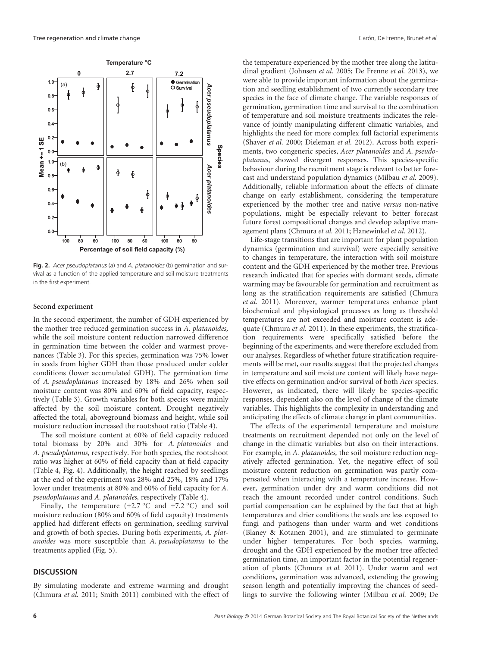

Fig. 2. Acer pseudoplatanus (a) and A. platanoides (b) germination and survival as a function of the applied temperature and soil moisture treatments in the first experiment.

#### Second experiment

In the second experiment, the number of GDH experienced by the mother tree reduced germination success in A. platanoides, while the soil moisture content reduction narrowed difference in germination time between the colder and warmest provenances (Table 3). For this species, germination was 75% lower in seeds from higher GDH than those produced under colder conditions (lower accumulated GDH). The germination time of A. pseudoplatanus increased by 18% and 26% when soil moisture content was 80% and 60% of field capacity, respectively (Table 3). Growth variables for both species were mainly affected by the soil moisture content. Drought negatively affected the total, aboveground biomass and height, while soil moisture reduction increased the root:shoot ratio (Table 4).

The soil moisture content at 60% of field capacity reduced total biomass by 20% and 30% for A. platanoides and A. pseudoplatanus, respectively. For both species, the root:shoot ratio was higher at 60% of field capacity than at field capacity (Table 4, Fig. 4). Additionally, the height reached by seedlings at the end of the experiment was 28% and 25%, 18% and 17% lower under treatments at 80% and 60% of field capacity for A. pseudoplatanus and A. platanoides, respectively (Table 4).

Finally, the temperature  $(+2.7 \degree C$  and  $+7.2 \degree C$ ) and soil moisture reduction (80% and 60% of field capacity) treatments applied had different effects on germination, seedling survival and growth of both species. During both experiments, A. platanoides was more susceptible than A. pseudoplatanus to the treatments applied (Fig. 5).

# **DISCUSSION**

By simulating moderate and extreme warming and drought (Chmura et al. 2011; Smith 2011) combined with the effect of the temperature experienced by the mother tree along the latitudinal gradient (Johnsen et al. 2005; De Frenne et al. 2013), we were able to provide important information about the germination and seedling establishment of two currently secondary tree species in the face of climate change. The variable responses of germination, germination time and survival to the combination of temperature and soil moisture treatments indicates the relevance of jointly manipulating different climatic variables, and highlights the need for more complex full factorial experiments (Shaver et al. 2000; Dieleman et al. 2012). Across both experiments, two congeneric species, Acer platanoides and A. pseudoplatanus, showed divergent responses. This species-specific behaviour during the recruitment stage is relevant to better forecast and understand population dynamics (Milbau et al. 2009). Additionally, reliable information about the effects of climate change on early establishment, considering the temperature experienced by the mother tree and native versus non-native populations, might be especially relevant to better forecast future forest compositional changes and develop adaptive management plans (Chmura et al. 2011; Hanewinkel et al. 2012).

Life-stage transitions that are important for plant population dynamics (germination and survival) were especially sensitive to changes in temperature, the interaction with soil moisture content and the GDH experienced by the mother tree. Previous research indicated that for species with dormant seeds, climate warming may be favourable for germination and recruitment as long as the stratification requirements are satisfied (Chmura et al. 2011). Moreover, warmer temperatures enhance plant biochemical and physiological processes as long as threshold temperatures are not exceeded and moisture content is adequate (Chmura et al. 2011). In these experiments, the stratification requirements were specifically satisfied before the beginning of the experiments, and were therefore excluded from our analyses. Regardless of whether future stratification requirements will be met, our results suggest that the projected changes in temperature and soil moisture content will likely have negative effects on germination and/or survival of both Acer species. However, as indicated, there will likely be species-specific responses, dependent also on the level of change of the climate variables. This highlights the complexity in understanding and anticipating the effects of climate change in plant communities.

The effects of the experimental temperature and moisture treatments on recruitment depended not only on the level of change in the climatic variables but also on their interactions. For example, in A. platanoides, the soil moisture reduction negatively affected germination. Yet, the negative effect of soil moisture content reduction on germination was partly compensated when interacting with a temperature increase. However, germination under dry and warm conditions did not reach the amount recorded under control conditions. Such partial compensation can be explained by the fact that at high temperatures and drier conditions the seeds are less exposed to fungi and pathogens than under warm and wet conditions (Blaney & Kotanen 2001), and are stimulated to germinate under higher temperatures. For both species, warming, drought and the GDH experienced by the mother tree affected germination time, an important factor in the potential regeneration of plants (Chmura et al. 2011). Under warm and wet conditions, germination was advanced, extending the growing season length and potentially improving the chances of seedlings to survive the following winter (Milbau et al. 2009; De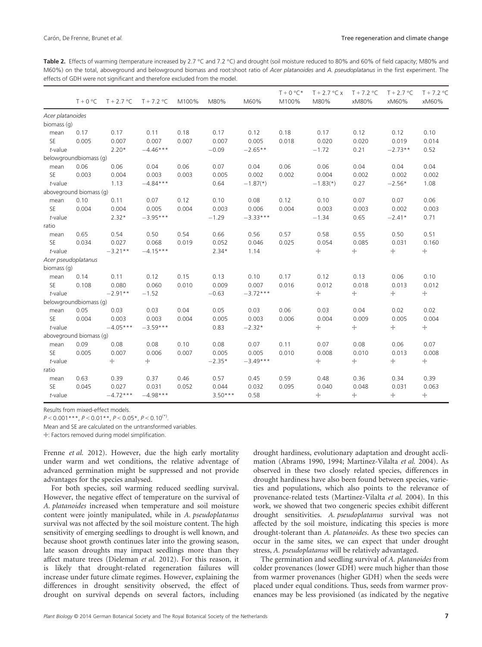Table 2. Effects of warming (temperature increased by 2.7 °C and 7.2 °C) and drought (soil moisture reduced to 80% and 60% of field capacity; M80% and M60%) on the total, aboveground and belowground biomass and root:shoot ratio of Acer platanoides and A. pseudoplatanus in the first experiment. The effects of GDH were not significant and therefore excluded from the model.

|                  | $T + 0$ °C              | $T + 2.7$ °C | $T + 7.2$ °C | M100% | M80%      | M60%       | $T + 0 °C*$<br>M100% | $T + 2.7$ °C x<br>M80% | $T + 7.2$ °C<br>xM80% | $T + 2.7$ °C<br>xM60% | $T + 7.2$ °C<br>xM60% |
|------------------|-------------------------|--------------|--------------|-------|-----------|------------|----------------------|------------------------|-----------------------|-----------------------|-----------------------|
| Acer platanoides |                         |              |              |       |           |            |                      |                        |                       |                       |                       |
| biomass (g)      |                         |              |              |       |           |            |                      |                        |                       |                       |                       |
| mean             | 0.17                    | 0.17         | 0.11         | 0.18  | 0.17      | 0.12       | 0.18                 | 0.17                   | 0.12                  | 0.12                  | 0.10                  |
| SE               | 0.005                   | 0.007        | 0.007        | 0.007 | 0.007     | 0.005      | 0.018                | 0.020                  | 0.020                 | 0.019                 | 0.014                 |
| $t$ -value       |                         | $2.20*$      | $-4.46***$   |       | $-0.09$   | $-2.65**$  |                      | $-1.72$                | 0.21                  | $-2.73**$             | 0.52                  |
|                  | belowgroundbiomass (g)  |              |              |       |           |            |                      |                        |                       |                       |                       |
| mean             | 0.06                    | 0.06         | 0.04         | 0.06  | 0.07      | 0.04       | 0.06                 | 0.06                   | 0.04                  | 0.04                  | 0.04                  |
| SE               | 0.003                   | 0.004        | 0.003        | 0.003 | 0.005     | 0.002      | 0.002                | 0.004                  | 0.002                 | 0.002                 | 0.002                 |
| $t$ -value       |                         | 1.13         | $-4.84***$   |       | 0.64      | $-1.87(*)$ |                      | $-1.83(*)$             | 0.27                  | $-2.56*$              | 1.08                  |
|                  | aboveground biomass (g) |              |              |       |           |            |                      |                        |                       |                       |                       |
| mean             | 0.10                    | 0.11         | 0.07         | 0.12  | 0.10      | 0.08       | 0.12                 | 0.10                   | 0.07                  | 0.07                  | 0.06                  |
| SE               | 0.004                   | 0.004        | 0.005        | 0.004 | 0.003     | 0.006      | 0.004                | 0.003                  | 0.003                 | 0.002                 | 0.003                 |
| $t$ -value       |                         | $2.32*$      | $-3.95***$   |       | $-1.29$   | $-3.33***$ |                      | $-1.34$                | 0.65                  | $-2.41*$              | 0.71                  |
| ratio            |                         |              |              |       |           |            |                      |                        |                       |                       |                       |
| mean             | 0.65                    | 0.54         | 0.50         | 0.54  | 0.66      | 0.56       | 0.57                 | 0.58                   | 0.55                  | 0.50                  | 0.51                  |
| SE               | 0.034                   | 0.027        | 0.068        | 0.019 | 0.052     | 0.046      | 0.025                | 0.054                  | 0.085                 | 0.031                 | 0.160                 |
| $t$ -value       |                         | $-3.21**$    | $-4.15***$   |       | $2.34*$   | 1.14       |                      | $+$                    | $+$                   | $+$                   | $\!+\!$               |
|                  | Acer pseudoplatanus     |              |              |       |           |            |                      |                        |                       |                       |                       |
| biomass (g)      |                         |              |              |       |           |            |                      |                        |                       |                       |                       |
| mean             | 0.14                    | 0.11         | 0.12         | 0.15  | 0.13      | 0.10       | 0.17                 | 0.12                   | 0.13                  | 0.06                  | 0.10                  |
| SE               | 0.108                   | 0.080        | 0.060        | 0.010 | 0.009     | 0.007      | 0.016                | 0.012                  | 0.018                 | 0.013                 | 0.012                 |
| $t$ -value       |                         | $-2.91**$    | $-1.52$      |       | $-0.63$   | $-3.72***$ |                      | $+$                    | $\boldsymbol{+}$      | $+$                   | $\!+\!$               |
|                  | belowgroundbiomass (g)  |              |              |       |           |            |                      |                        |                       |                       |                       |
| mean             | 0.05                    | 0.03         | 0.03         | 0.04  | 0.05      | 0.03       | 0.06                 | 0.03                   | 0.04                  | 0.02                  | 0.02                  |
| SE               | 0.004                   | 0.003        | 0.003        | 0.004 | 0.005     | 0.003      | 0.006                | 0.004                  | 0.009                 | 0.005                 | 0.004                 |
| $t$ -value       |                         | $-4.05***$   | $-3.59***$   |       | 0.83      | $-2.32*$   |                      | $+$                    | $\boldsymbol{+}$      | $+$                   | $\!+\!$               |
|                  | aboveground biomass (q) |              |              |       |           |            |                      |                        |                       |                       |                       |
| mean             | 0.09                    | 0.08         | 0.08         | 0.10  | 0.08      | 0.07       | 0.11                 | 0.07                   | 0.08                  | 0.06                  | 0.07                  |
| <b>SE</b>        | 0.005                   | 0.007        | 0.006        | 0.007 | 0.005     | 0.005      | 0.010                | 0.008                  | 0.010                 | 0.013                 | 0.008                 |
| $t$ -value       |                         | ÷.           | +            |       | $-2.35*$  | $-3.49***$ |                      | $+$                    | $+$                   | $+$                   | $\!+\!$               |
| ratio            |                         |              |              |       |           |            |                      |                        |                       |                       |                       |
| mean             | 0.63                    | 0.39         | 0.37         | 0.46  | 0.57      | 0.45       | 0.59                 | 0.48                   | 0.36                  | 0.34                  | 0.39                  |
| SE               | 0.045                   | 0.027        | 0.031        | 0.052 | 0.044     | 0.032      | 0.095                | 0.040                  | 0.048                 | 0.031                 | 0.063                 |
| $t$ -value       |                         | $-4.72***$   | $-4.98***$   |       | $3.50***$ | 0.58       |                      | ┿                      | +                     | $\!+\!$               | $\!+\!$               |

 $P < 0.001***$ ,  $P < 0.01***$ ,  $P < 0.05*$ ,  $P < 0.10(*)$ .

Mean and SE are calculated on the untransformed variables.

☩: Factors removed during model simplification.

Frenne et al. 2012). However, due the high early mortality under warm and wet conditions, the relative adventage of advanced germination might be suppressed and not provide advantages for the species analysed.

For both species, soil warming reduced seedling survival. However, the negative effect of temperature on the survival of A. platanoides increased when temperature and soil moisture content were jointly manipulated, while in A. pseudoplatanus survival was not affected by the soil moisture content. The high sensitivity of emerging seedlings to drought is well known, and because shoot growth continues later into the growing season, late season droughts may impact seedlings more than they affect mature trees (Dieleman et al. 2012). For this reason, it is likely that drought-related regeneration failures will increase under future climate regimes. However, explaining the differences in drought sensitivity observed, the effect of drought on survival depends on several factors, including

drought hardiness, evolutionary adaptation and drought acclimation (Abrams 1990, 1994; Martinez-Vilalta et al. 2004). As observed in these two closely related species, differences in drought hardiness have also been found between species, varieties and populations, which also points to the relevance of provenance-related tests (Martinez-Vilalta et al. 2004). In this work, we showed that two congeneric species exhibit different drought sensitivities. A. pseudoplatanus survival was not affected by the soil moisture, indicating this species is more drought-tolerant than A. platanoides. As these two species can occur in the same sites, we can expect that under drought stress, A. pseudoplatanus will be relatively advantaged.

The germination and seedling survival of A. platanoides from colder provenances (lower GDH) were much higher than those from warmer provenances (higher GDH) when the seeds were placed under equal conditions. Thus, seeds from warmer provenances may be less provisioned (as indicated by the negative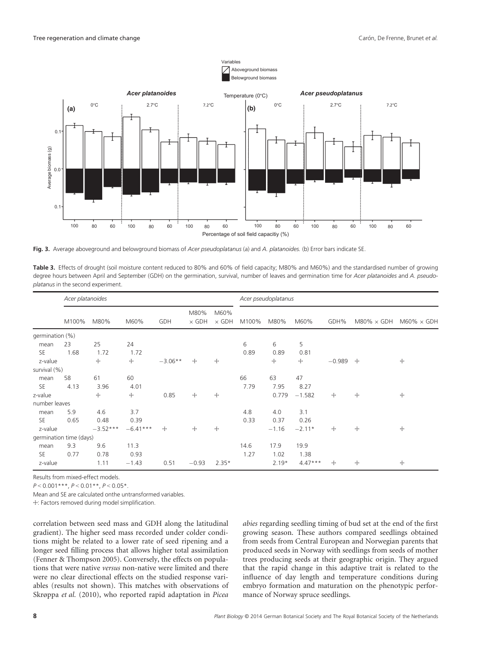

Fig. 3. Average aboveground and belowground biomass of Acer pseudoplatanus (a) and A. platanoides. (b) Error bars indicate SE.

Table 3. Effects of drought (soil moisture content reduced to 80% and 60% of field capacity; M80% and M60%) and the standardised number of growing degree hours between April and September (GDH) on the germination, survival, number of leaves and germination time for Acer platanoides and A. pseudoplatanus in the second experiment.

|                 | Acer platanoides        |            |            |           |                      |                      |       | Acer pseudoplatanus |           |          |                    |                    |
|-----------------|-------------------------|------------|------------|-----------|----------------------|----------------------|-------|---------------------|-----------|----------|--------------------|--------------------|
|                 | M100%                   | M80%       | M60%       | GDH       | M80%<br>$\times$ GDH | M60%<br>$\times$ GDH | M100% | M80%                | M60%      | GDH%     | $M80\% \times GDH$ | $M60\% \times GDH$ |
| germination (%) |                         |            |            |           |                      |                      |       |                     |           |          |                    |                    |
| mean            | 23                      | 25         | 24         |           |                      |                      | 6     | 6                   | 5         |          |                    |                    |
| <b>SE</b>       | 1.68                    | 1.72       | 1.72       |           |                      |                      | 0.89  | 0.89                | 0.81      |          |                    |                    |
| z-value         |                         | ╈          | $+$        | $-3.06**$ | $+$                  | $+$                  |       | +                   | ÷         | $-0.989$ | $+$                | ÷                  |
| survival (%)    |                         |            |            |           |                      |                      |       |                     |           |          |                    |                    |
| mean            | 58                      | 61         | 60         |           |                      |                      | 66    | 63                  | 47        |          |                    |                    |
| <b>SE</b>       | 4.13                    | 3.96       | 4.01       |           |                      |                      | 7.79  | 7.95                | 8.27      |          |                    |                    |
| z-value         |                         | ╈          | ÷          | 0.85      | ╈                    | Ŧ                    |       | 0.779               | $-1.582$  | +        | ÷                  | ÷                  |
| number leaves   |                         |            |            |           |                      |                      |       |                     |           |          |                    |                    |
| mean            | 5.9                     | 4.6        | 3.7        |           |                      |                      | 4.8   | 4.0                 | 3.1       |          |                    |                    |
| <b>SE</b>       | 0.65                    | 0.48       | 0.39       |           |                      |                      | 0.33  | 0.37                | 0.26      |          |                    |                    |
| z-value         |                         | $-3.52***$ | $-6.41***$ | ┿         | +                    | $+$                  |       | $-1.16$             | $-2.11*$  | +        | ÷                  | ÷                  |
|                 | germination time (days) |            |            |           |                      |                      |       |                     |           |          |                    |                    |
| mean            | 9.3                     | 9.6        | 11.3       |           |                      |                      | 14.6  | 17.9                | 19.9      |          |                    |                    |
| <b>SE</b>       | 0.77                    | 0.78       | 0.93       |           |                      |                      | 1.27  | 1.02                | 1.38      |          |                    |                    |
| z-value         |                         | 1.11       | $-1.43$    | 0.51      | $-0.93$              | $2.35*$              |       | $2.19*$             | $4.47***$ | ┿        | ÷                  | ÷                  |

 $P < 0.001***$ ,  $P < 0.01***$ ,  $P < 0.05*$ .

Mean and SE are calculated onthe untransformed variables.

☩: Factors removed during model simplification.

correlation between seed mass and GDH along the latitudinal gradient). The higher seed mass recorded under colder conditions might be related to a lower rate of seed ripening and a longer seed filling process that allows higher total assimilation (Fenner & Thompson 2005). Conversely, the effects on populations that were native versus non-native were limited and there were no clear directional effects on the studied response variables (results not shown). This matches with observations of Skrøppa et al. (2010), who reported rapid adaptation in Picea

abies regarding seedling timing of bud set at the end of the first growing season. These authors compared seedlings obtained from seeds from Central European and Norwegian parents that produced seeds in Norway with seedlings from seeds of mother trees producing seeds at their geographic origin. They argued that the rapid change in this adaptive trait is related to the influence of day length and temperature conditions during embryo formation and maturation on the phenotypic performance of Norway spruce seedlings.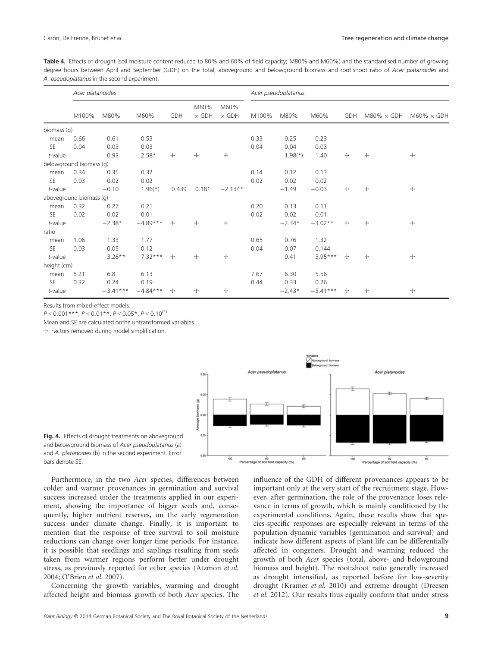Table 4. Effects of drought (soil moisture content reduced to 80% and 60% of field capacity; M80% and M60%) and the standardised number of growing degree hours between April and September (GDH) on the total, aboveground and belowground biomass and root:shoot ratio of Acer platanoides and A. pseudoplatanus in the second experiment.

|             | Acer platanoides        |            |            |       |                      |                      |       | Acer pseudoplatanus |            |     |                    |                    |
|-------------|-------------------------|------------|------------|-------|----------------------|----------------------|-------|---------------------|------------|-----|--------------------|--------------------|
|             | M100%                   | M80%       | M60%       | GDH   | M80%<br>$\times$ GDH | M60%<br>$\times$ GDH | M100% | M80%                | M60%       | GDH | $M80\% \times GDH$ | $M60\% \times GDH$ |
| biomass (g) |                         |            |            |       |                      |                      |       |                     |            |     |                    |                    |
| mean        | 0.66                    | 0.61       | 0.53       |       |                      |                      | 0.33  | 0.25                | 0.23       |     |                    |                    |
| <b>SE</b>   | 0.04                    | 0.03       | 0.03       |       |                      |                      | 0.04  | 0.04                | 0.03       |     |                    |                    |
| $t$ -value  |                         | $-0.93$    | $-2.58*$   | ÷     | ┿                    | $+$                  |       | $-1.98(*)$          | $-1.40$    | $+$ | +                  | $+$                |
|             | belowground biomass (g) |            |            |       |                      |                      |       |                     |            |     |                    |                    |
| mean        | 0.34                    | 0.35       | 0.32       |       |                      |                      | 0.14  | 0.12                | 0.13       |     |                    |                    |
| <b>SE</b>   | 0.03                    | 0.02       | 0.02       |       |                      |                      | 0.02  | 0.02                | 0.02       |     |                    |                    |
| $t$ -value  |                         | $-0.10$    | $1.96(*)$  | 0.439 | 0.181                | $-2.134*$            |       | $-1.49$             | $-0.03$    | $+$ | +                  | $+$                |
|             | aboveground biomass (g) |            |            |       |                      |                      |       |                     |            |     |                    |                    |
| mean        | 0.32                    | 0.27       | 0.21       |       |                      |                      | 0.20  | 0.13                | 0.11       |     |                    |                    |
| <b>SE</b>   | 0.02                    | 0.02       | 0.01       |       |                      |                      | 0.02  | 0.02                | 0.01       |     |                    |                    |
| $t$ -value  |                         | $-2.38*$   | $-4.89***$ | $+$   | $+$                  | $+$                  |       | $-2.34*$            | $-3.02**$  | $+$ | +                  | $+$                |
| ratio       |                         |            |            |       |                      |                      |       |                     |            |     |                    |                    |
| mean        | 1.06                    | 1.33       | 1.77       |       |                      |                      | 0.65  | 0.76                | 1.32       |     |                    |                    |
| <b>SE</b>   | 0.03                    | 0.05       | 0.12       |       |                      |                      | 0.04  | 0.07                | 0.144      |     |                    |                    |
| $t$ -value  |                         | $3.26***$  | $7.32***$  | ÷     | $+$                  | $+$                  |       | 0.41                | $3.95***$  | $+$ | ÷                  | $+$                |
| height (cm) |                         |            |            |       |                      |                      |       |                     |            |     |                    |                    |
| mean        | 8.21                    | 6.8        | 6.13       |       |                      |                      | 7.67  | 6.30                | 5.56       |     |                    |                    |
| <b>SE</b>   | 0.32                    | 0.24       | 0.19       |       |                      |                      | 0.44  | 0.33                | 0.26       |     |                    |                    |
| $t$ -value  |                         | $-3.41***$ | $-4.84***$ | ┿     | ┿                    | $+$                  |       | $-2.43*$            | $-3.41***$ | $+$ | +                  | +                  |

 $P < 0.001***$ ,  $P < 0.01***$ ,  $P < 0.05*$ ,  $P < 0.10^{(*)}$ .

Mean and SE are calculated onthe untransformed variables.

☩: Factors removed during model simplification.



Fig. 4. Effects of drought treatments on aboveground and belowground biomass of Acer pseudoplatanus (a) and A. platanoides (b) in the second experiment. Error bars denote SE.

Furthermore, in the two Acer species, differences between colder and warmer provenances in germination and survival success increased under the treatments applied in our experiment, showing the importance of bigger seeds and, consequently, higher nutrient reserves, on the early regeneration success under climate change. Finally, it is important to mention that the response of tree survival to soil moisture reductions can change over longer time periods. For instance, it is possible that seedlings and saplings resulting from seeds taken from warmer regions perform better under drought stress, as previously reported for other species (Atzmon et al. 2004; O'Brien et al. 2007).

Concerning the growth variables, warming and drought affected height and biomass growth of both Acer species. The influence of the GDH of different provenances appears to be important only at the very start of the recruitment stage. However, after germination, the role of the provenance loses relevance in terms of growth, which is mainly conditioned by the experimental conditions. Again, these results show that species-specific responses are especially relevant in terms of the population dynamic variables (germination and survival) and indicate how different aspects of plant life can be differentially affected in congeners. Drought and warming reduced the growth of both Acer species (total, above- and belowground biomass and height). The root:shoot ratio generally increased as drought intensified, as reported before for low-severity drought (Kramer et al. 2010) and extreme drought (Dreesen et al. 2012). Our results thus equally confirm that under stress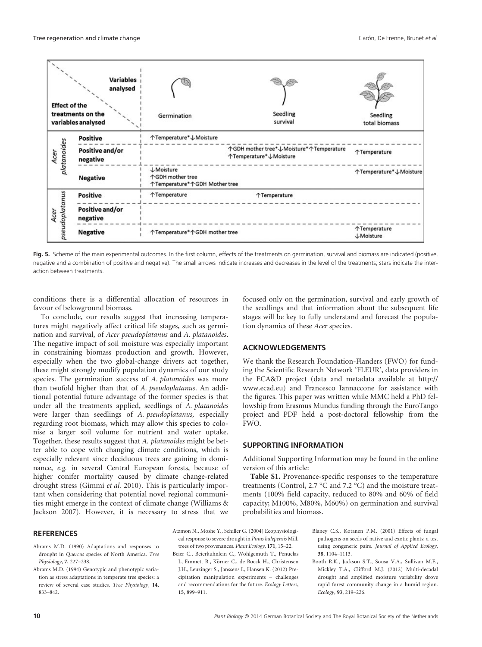

Fig. 5. Scheme of the main experimental outcomes. In the first column, effects of the treatments on germination, survival and biomass are indicated (positive, negative and a combination of positive and negative). The small arrows indicate increases and decreases in the level of the treatments; stars indicate the interaction between treatments.

conditions there is a differential allocation of resources in favour of belowground biomass.

To conclude, our results suggest that increasing temperatures might negatively affect critical life stages, such as germination and survival, of Acer pseudoplatanus and A. platanoides. The negative impact of soil moisture was especially important in constraining biomass production and growth. However, especially when the two global-change drivers act together, these might strongly modify population dynamics of our study species. The germination success of A. *platanoides* was more than twofold higher than that of A. pseudoplatanus. An additional potential future advantage of the former species is that under all the treatments applied, seedlings of A. platanoides were larger than seedlings of A. pseudoplatanus, especially regarding root biomass, which may allow this species to colonise a larger soil volume for nutrient and water uptake. Together, these results suggest that A. platanoides might be better able to cope with changing climate conditions, which is especially relevant since deciduous trees are gaining in dominance, e.g. in several Central European forests, because of higher conifer mortality caused by climate change-related drought stress (Gimmi et al. 2010). This is particularly important when considering that potential novel regional communities might emerge in the context of climate change (Williams & Jackson 2007). However, it is necessary to stress that we

#### **REFERENCES**

- Abrams M.D. (1990) Adaptations and responses to drought in Quercus species of North America. Tree Physiology, 7, 227–238.
- Abrams M.D. (1994) Genotypic and phenotypic variation as stress adaptations in temperate tree species: a review of several case studies. Tree Physiology, 14, 833–842.

focused only on the germination, survival and early growth of the seedlings and that information about the subsequent life stages will be key to fully understand and forecast the population dynamics of these Acer species.

# ACKNOWLEDGEMENTS

We thank the Research Foundation-Flanders (FWO) for funding the Scientific Research Network 'FLEUR', data providers in the ECA&D project (data and metadata available at http:// www.ecad.eu) and Francesco Iannaccone for assistance with the figures. This paper was written while MMC held a PhD fellowship from Erasmus Mundus funding through the EuroTango project and PDF held a post-doctoral fellowship from the FWO.

# SUPPORTING INFORMATION

Additional Supporting Information may be found in the online version of this article:

Table S1. Provenance-specific responses to the temperature treatments (Control, 2.7 °C and 7.2 °C) and the moisture treatments (100% field capacity, reduced to 80% and 60% of field capacity; M100%, M80%, M60%) on germination and survival probabilities and biomass.

Atzmon N., Moshe Y., Schiller G. (2004) Ecophysiological response to severe drought in Pinus halepensis Mill. trees of two provenances. Plant Ecology, 171, 15–22. Beier C., Beierkuhnlein C., Wohlgemuth T., Penuelas

J., Emmett B., Körner C., de Boeck H., Christensen J.H., Leuzinger S., Janssens I., Hansen K. (2012) Precipitation manipulation experiments – challenges and recommendations for the future. Ecology Letters, 15, 899–911.

- Blaney C.S., Kotanen P.M. (2001) Effects of fungal pathogens on seeds of native and exotic plants: a test using congeneric pairs. Journal of Applied Ecology, 38, 1104–1113.
- Booth R.K., Jackson S.T., Sousa V.A., Sullivan M.E., Mickley T.A., Clifford M.J. (2012) Multi-decadal drought and amplified moisture variability drove rapid forest community change in a humid region. Ecology, 93, 219–226.